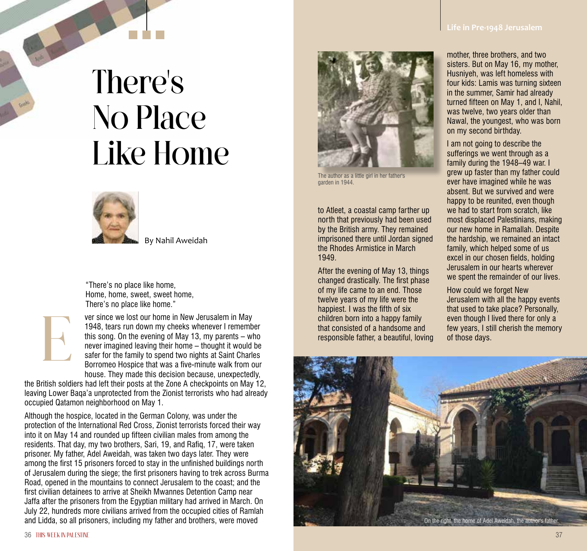## There's No Place Like Home

By Nahil Aweidah

"There's no place like home, Home, home, sweet, sweet home, There's no place like home."

E

ver since we lost our home in New Jerusalem in May 1948, tears run down my cheeks whenever I remember this song. On the evening of May 13, my parents – who never imagined leaving their home – thought it would be safer for the family to spend two nights at Saint Charles Borromeo Hospice that was a five-minute walk from our house. They made this decision because, unexpectedly,

the British soldiers had left their posts at the Zone A checkpoints on May 12, leaving Lower Baqa'a unprotected from the Zionist terrorists who had already occupied Qatamon neighborhood on May 1.

Although the hospice, located in the German Colony, was under the protection of the International Red Cross, Zionist terrorists forced their way into it on May 14 and rounded up fifteen civilian males from among the residents. That day, my two brothers, Sari, 19, and Rafiq, 17, were taken prisoner. My father, Adel Aweidah, was taken two days later. They were among the first 15 prisoners forced to stay in the unfinished buildings north of Jerusalem during the siege; the first prisoners having to trek across Burma Road, opened in the mountains to connect Jerusalem to the coast; and the first civilian detainees to arrive at Sheikh Mwannes Detention Camp near Jaffa after the prisoners from the Egyptian military had arrived in March. On July 22, hundreds more civilians arrived from the occupied cities of Ramlah and Lidda, so all prisoners, including my father and brothers, were moved



The author as a little girl in her father's garden in 1944.

to Atleet, a coastal camp farther up north that previously had been used by the British army. They remained imprisoned there until Jordan signed the Rhodes Armistice in March 1949.

After the evening of May 13, things changed drastically. The first phase of my life came to an end. Those twelve years of my life were the happiest. I was the fifth of six children born into a happy family that consisted of a handsome and responsible father, a beautiful, loving

mother, three brothers, and two sisters. But on May 16, my mother, Husniyeh, was left homeless with four kids: Lamis was turning sixteen in the summer, Samir had already turned fifteen on May 1, and I, Nahil, was twelve, two years older than Nawal, the youngest, who was born on my second birthday.

I am not going to describe the sufferings we went through as a family during the 1948–49 war. I grew up faster than my father could ever have imagined while he was absent. But we survived and were happy to be reunited, even though we had to start from scratch, like most displaced Palestinians, making our new home in Ramallah. Despite the hardship, we remained an intact family, which helped some of us excel in our chosen fields, holding Jerusalem in our hearts wherever we spent the remainder of our lives.

How could we forget New Jerusalem with all the happy events that used to take place? Personally, even though I lived there for only a few years, I still cherish the memory of those days.

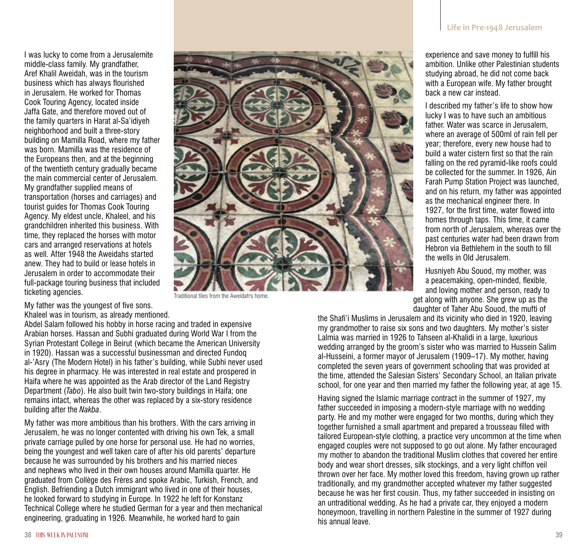I was lucky to come from a Jerusalemite middle-class family. My grandfather, Aref Khalil Aweidah, was in the tourism business which has always flourished in Jerusalem. He worked for Thomas Cook Touring Agency, located inside Jaffa Gate, and therefore moved out of the family quarters in Harat al-Sa'idiyeh neighborhood and built a three-story building on Mamilla Road, where my father was born. Mamilla was the residence of the Europeans then, and at the beginning of the twentieth century gradually became the main commercial center of Jerusalem. My grandfather supplied means of transportation (horses and carriages) and tourist guides for Thomas Cook Touring Agency. My eldest uncle, Khaleel, and his grandchildren inherited this business. With time, they replaced the horses with motor cars and arranged reservations at hotels as well. After 1948 the Aweidahs started anew. They had to build or lease hotels in Jerusalem in order to accommodate their full-package touring business that included ticketing agencies.



Traditional tiles from the Aweidah's home.

My father was the youngest of five sons. Khaleel was in tourism, as already mentioned.

Abdel Salam followed his hobby in horse racing and traded in expensive Arabian horses. Hassan and Subhi graduated during World War I from the Syrian Protestant College in Beirut (which became the American University in 1920). Hassan was a successful businessman and directed Fundoq al-'Asry (The Modern Hotel) in his father's building, while Subhi never used his degree in pharmacy. He was interested in real estate and prospered in Haifa where he was appointed as the Arab director of the Land Registry Department (*Tabo*). He also built twin two-story buildings in Haifa; one remains intact, whereas the other was replaced by a six-story residence building after the *Nakba*.

My father was more ambitious than his brothers. With the cars arriving in Jerusalem, he was no longer contented with driving his own Tek, a small private carriage pulled by one horse for personal use. He had no worries, being the youngest and well taken care of after his old parents' departure because he was surrounded by his brothers and his married nieces and nephews who lived in their own houses around Mamilla quarter. He graduated from Collège des Frères and spoke Arabic, Turkish, French, and English. Befriending a Dutch immigrant who lived in one of their houses, he looked forward to studying in Europe. In 1922 he left for Konstanz Technical College where he studied German for a year and then mechanical engineering, graduating in 1926. Meanwhile, he worked hard to gain

experience and save money to fulfill his ambition. Unlike other Palestinian students studying abroad, he did not come back with a European wife. My father brought back a new car instead.

I described my father's life to show how lucky I was to have such an ambitious father. Water was scarce in Jerusalem, where an average of 500ml of rain fell per year; therefore, every new house had to build a water cistern first so that the rain falling on the red pyramid-like roofs could be collected for the summer. In 1926, Ain Farah Pump Station Project was launched, and on his return, my father was appointed as the mechanical engineer there. In 1927, for the first time, water flowed into homes through taps. This time, it came from north of Jerusalem, whereas over the past centuries water had been drawn from Hebron via Bethlehem in the south to fill the wells in Old Jerusalem.

Husniyeh Abu Souod, my mother, was a peacemaking, open-minded, flexible, and loving mother and person, ready to get along with anyone. She grew up as the daughter of Taher Abu Souod, the mufti of

the Shafi'i Muslims in Jerusalem and its vicinity who died in 1920, leaving my grandmother to raise six sons and two daughters. My mother's sister Lalmia was married in 1926 to Tahseen al-Khalidi in a large, luxurious wedding arranged by the groom's sister who was married to Hussein Salim al-Husseini, a former mayor of Jerusalem (1909–17). My mother, having completed the seven years of government schooling that was provided at the time, attended the Salesian Sisters' Secondary School, an Italian private school, for one year and then married my father the following year, at age 15.

Having signed the Islamic marriage contract in the summer of 1927, my father succeeded in imposing a modern-style marriage with no wedding party. He and my mother were engaged for two months, during which they together furnished a small apartment and prepared a trousseau filled with tailored European-style clothing, a practice very uncommon at the time when engaged couples were not supposed to go out alone. My father encouraged my mother to abandon the traditional Muslim clothes that covered her entire body and wear short dresses, silk stockings, and a very light chiffon veil thrown over her face. My mother loved this freedom, having grown up rather traditionally, and my grandmother accepted whatever my father suggested because he was her first cousin. Thus, my father succeeded in insisting on an untraditional wedding. As he had a private car, they enjoyed a modern honeymoon, travelling in northern Palestine in the summer of 1927 during his annual leave.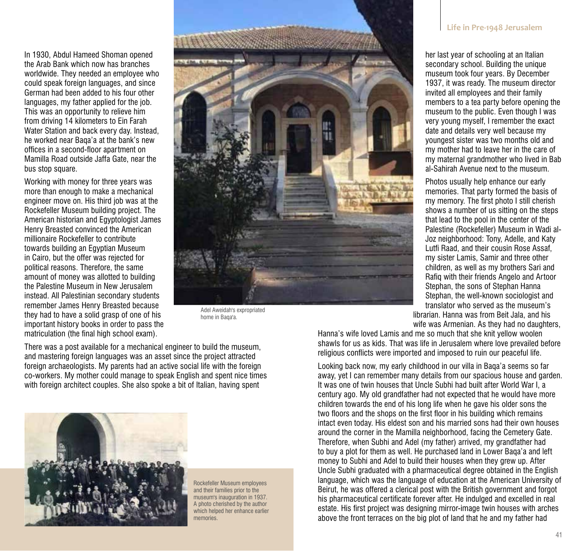In 1930, Abdul Hameed Shoman opened the Arab Bank which now has branches worldwide. They needed an employee who could speak foreign languages, and since German had been added to his four other languages, my father applied for the job. This was an opportunity to relieve him from driving 14 kilometers to Ein Farah Water Station and back every day. Instead, he worked near Baqa'a at the bank's new offices in a second-floor apartment on Mamilla Road outside Jaffa Gate, near the bus stop square.

Working with money for three years was more than enough to make a mechanical engineer move on. His third job was at the Rockefeller Museum building project. The American historian and Egyptologist James Henry Breasted convinced the American millionaire Rockefeller to contribute towards building an Egyptian Museum in Cairo, but the offer was rejected for political reasons. Therefore, the same amount of money was allotted to building the Palestine Museum in New Jerusalem instead. All Palestinian secondary students remember James Henry Breasted because they had to have a solid grasp of one of his important history books in order to pass the matriculation (the final high school exam).



Adel Aweidah's expropriated home in Baqa'a.

There was a post available for a mechanical engineer to build the museum, and mastering foreign languages was an asset since the project attracted foreign archaeologists. My parents had an active social life with the foreign co-workers. My mother could manage to speak English and spent nice times with foreign architect couples. She also spoke a bit of Italian, having spent



Rockefeller Museum employees and their families prior to the museum's inauguration in 1937. A photo cherished by the author which helped her enhance earlier memories.

## **Life in Pre-1948 Jerusalem**

her last year of schooling at an Italian secondary school. Building the unique museum took four years. By December 1937, it was ready. The museum director invited all employees and their family members to a tea party before opening the museum to the public. Even though I was very young myself, I remember the exact date and details very well because my youngest sister was two months old and my mother had to leave her in the care of my maternal grandmother who lived in Bab al-Sahirah Avenue next to the museum.

Photos usually help enhance our early memories. That party formed the basis of my memory. The first photo I still cherish shows a number of us sitting on the steps that lead to the pool in the center of the Palestine (Rockefeller) Museum in Wadi al-Joz neighborhood: Tony, Adelle, and Katy Lutfi Raad, and their cousin Rose Assaf, my sister Lamis, Samir and three other children, as well as my brothers Sari and Rafiq with their friends Angelo and Artoor Stephan, the sons of Stephan Hanna Stephan, the well-known sociologist and translator who served as the museum's

librarian. Hanna was from Beit Jala, and his wife was Armenian. As they had no daughters,

Hanna's wife loved Lamis and me so much that she knit yellow woolen shawls for us as kids. That was life in Jerusalem where love prevailed before religious conflicts were imported and imposed to ruin our peaceful life.

Looking back now, my early childhood in our villa in Baqa'a seems so far away, yet I can remember many details from our spacious house and garden. It was one of twin houses that Uncle Subhi had built after World War I, a century ago. My old grandfather had not expected that he would have more children towards the end of his long life when he gave his older sons the two floors and the shops on the first floor in his building which remains intact even today. His eldest son and his married sons had their own houses around the corner in the Mamilla neighborhood, facing the Cemetery Gate. Therefore, when Subhi and Adel (my father) arrived, my grandfather had to buy a plot for them as well. He purchased land in Lower Baqa'a and left money to Subhi and Adel to build their houses when they grew up. After Uncle Subhi graduated with a pharmaceutical degree obtained in the English language, which was the language of education at the American University of Beirut, he was offered a clerical post with the British government and forgot his pharmaceutical certificate forever after. He indulged and excelled in real estate. His first project was designing mirror-image twin houses with arches above the front terraces on the big plot of land that he and my father had